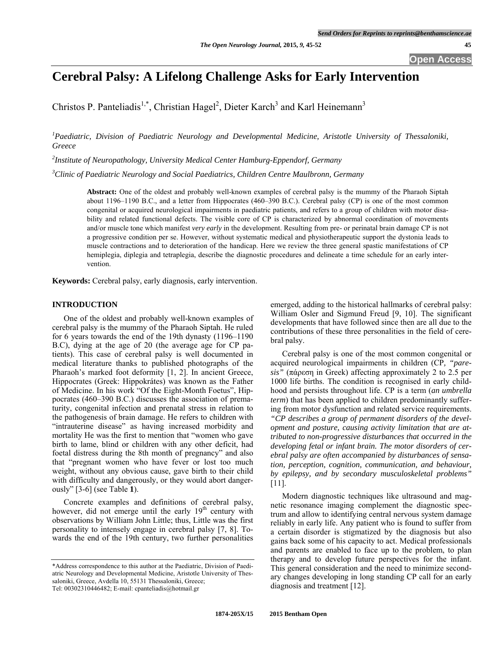# **Cerebral Palsy: A Lifelong Challenge Asks for Early Intervention**

Christos P. Panteliadis<sup>1,\*</sup>, Christian Hagel<sup>2</sup>, Dieter Karch<sup>3</sup> and Karl Heinemann<sup>3</sup>

<sup>1</sup> Paediatric, Division of Paediatric Neurology and Developmental Medicine, Aristotle University of Thessaloniki, *Greece* 

*2 Institute of Neuropathology, University Medical Center Hamburg-Eppendorf, Germany* 

*3 Clinic of Paediatric Neurology and Social Paediatrics, Children Centre Maulbronn, Germany* 

**Abstract:** One of the oldest and probably well-known examples of cerebral palsy is the mummy of the Pharaoh Siptah about 1196–1190 B.C., and a letter from Hippocrates (460–390 B.C.). Cerebral palsy (CP) is one of the most common congenital or acquired neurological impairments in paediatric patients, and refers to a group of children with motor disability and related functional defects. The visible core of CP is characterized by abnormal coordination of movements and/or muscle tone which manifest *very early* in the development. Resulting from pre- or perinatal brain damage CP is not a progressive condition per se. However, without systematic medical and physiotherapeutic support the dystonia leads to muscle contractions and to deterioration of the handicap. Here we review the three general spastic manifestations of CP hemiplegia, diplegia and tetraplegia, describe the diagnostic procedures and delineate a time schedule for an early intervention.

**Keywords:** Cerebral palsy, early diagnosis, early intervention.

#### **INTRODUCTION**

 One of the oldest and probably well-known examples of cerebral palsy is the mummy of the Pharaoh Siptah. He ruled for 6 years towards the end of the 19th dynasty (1196–1190 B.C), dying at the age of 20 (the average age for CP patients). This case of cerebral palsy is well documented in medical literature thanks to published photographs of the Pharaoh's marked foot deformity [1, 2]. In ancient Greece, Hippocrates (Greek: Hippokrátes) was known as the Father of Medicine. In his work "Of the Eight-Month Foetus", Hippocrates (460–390 B.C.) discusses the association of prematurity, congenital infection and prenatal stress in relation to the pathogenesis of brain damage. He refers to children with "intrauterine disease" as having increased morbidity and mortality He was the first to mention that "women who gave birth to lame, blind or children with any other deficit, had foetal distress during the 8th month of pregnancy" and also that "pregnant women who have fever or lost too much weight, without any obvious cause, gave birth to their child with difficulty and dangerously, or they would abort dangerously" [3-6] (see Table **1**).

 Concrete examples and definitions of cerebral palsy, however, did not emerge until the early  $19<sup>th</sup>$  century with observations by William John Little; thus, Little was the first personality to intensely engage in cerebral palsy [7, 8]. Towards the end of the 19th century, two further personalities

emerged, adding to the historical hallmarks of cerebral palsy: William Osler and Sigmund Freud [9, 10]. The significant developments that have followed since then are all due to the contributions of these three personalities in the field of cerebral palsy.

 Cerebral palsy is one of the most common congenital or acquired neurological impairments in children (CP*, "paresis"* (πάρεση in Greek) affecting approximately 2 to 2.5 per 1000 life births. The condition is recognised in early childhood and persists throughout life. CP is a term (*an umbrella term*) that has been applied to children predominantly suffering from motor dysfunction and related service requirements. *"CP describes a group of permanent disorders of the development and posture, causing activity limitation that are attributed to non-progressive disturbances that occurred in the developing fetal or infant brain. The motor disorders of cerebral palsy are often accompanied by disturbances of sensation, perception, cognition, communication, and behaviour, by epilepsy, and by secondary musculoskeletal problems"*  [11].

Modern diagnostic techniques like ultrasound and magnetic resonance imaging complement the diagnostic spectrum and allow to identifying central nervous system damage reliably in early life. Any patient who is found to suffer from a certain disorder is stigmatized by the diagnosis but also gains back some of his capacity to act. Medical professionals and parents are enabled to face up to the problem, to plan therapy and to develop future perspectives for the infant. This general consideration and the need to minimize secondary changes developing in long standing CP call for an early diagnosis and treatment [12].

<sup>\*</sup>Address correspondence to this author at the Paediatric, Division of Paediatric Neurology and Developmental Medicine, Aristotle University of Thessaloniki, Greece, Avdella 10, 55131 Thessaloniki, Greece; Tel: 00302310446482; E-mail: cpanteliadis@hotmail.gr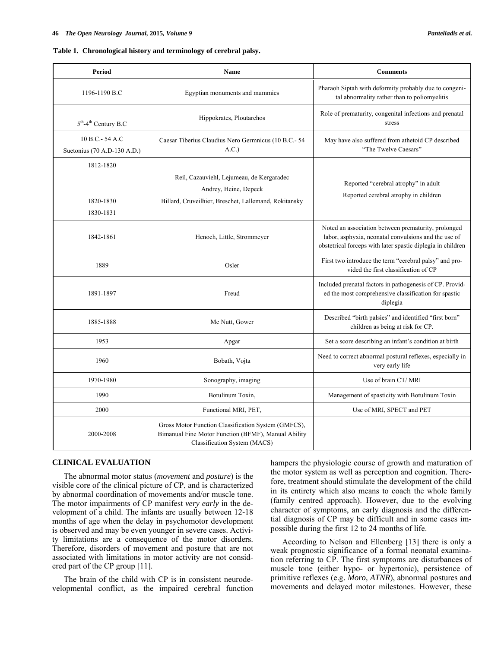| Table 1. Chronological history and terminology of cerebral palsy. |  |  |
|-------------------------------------------------------------------|--|--|
|                                                                   |  |  |

| Period                                         | <b>Name</b>                                                                                                                                | <b>Comments</b>                                                                                                                                                            |  |
|------------------------------------------------|--------------------------------------------------------------------------------------------------------------------------------------------|----------------------------------------------------------------------------------------------------------------------------------------------------------------------------|--|
| 1196-1190 B.C                                  | Egyptian monuments and mummies                                                                                                             | Pharaoh Siptah with deformity probably due to congeni-<br>tal abnormality rather than to poliomyelitis                                                                     |  |
| $5th - 4th$ Century B.C                        | Hippokrates, Ploutarchos                                                                                                                   | Role of prematurity, congenital infections and prenatal<br>stress                                                                                                          |  |
| 10 B.C.- 54 A.C<br>Suetonius (70 A.D-130 A.D.) | Caesar Tiberius Claudius Nero Germnicus (10 B.C.- 54<br>A.C.                                                                               | May have also suffered from athetoid CP described<br>"The Twelve Caesars"                                                                                                  |  |
| 1812-1820<br>1820-1830<br>1830-1831            | Reil, Cazauviehl, Lejumeau, de Kergaradec<br>Andrey, Heine, Depeck<br>Billard, Cruveilhier, Breschet, Lallemand, Rokitansky                | Reported "cerebral atrophy" in adult<br>Reported cerebral atrophy in children                                                                                              |  |
| 1842-1861                                      | Henoch, Little, Strommeyer                                                                                                                 | Noted an association between prematurity, prolonged<br>labor, asphyxia, neonatal convulsions and the use of<br>obstetrical forceps with later spastic diplegia in children |  |
| 1889                                           | Osler                                                                                                                                      | First two introduce the term "cerebral palsy" and pro-<br>vided the first classification of CP                                                                             |  |
| 1891-1897                                      | Freud                                                                                                                                      | Included prenatal factors in pathogenesis of CP. Provid-<br>ed the most comprehensive classification for spastic<br>diplegia                                               |  |
| 1885-1888                                      | Mc Nutt, Gower                                                                                                                             | Described "birth palsies" and identified "first born"<br>children as being at risk for CP.                                                                                 |  |
| 1953                                           | Apgar                                                                                                                                      | Set a score describing an infant's condition at birth                                                                                                                      |  |
| 1960                                           | Bobath, Vojta                                                                                                                              | Need to correct abnormal postural reflexes, especially in<br>very early life                                                                                               |  |
| 1970-1980                                      | Sonography, imaging                                                                                                                        | Use of brain CT/MRI                                                                                                                                                        |  |
| 1990                                           | Botulinum Toxin,                                                                                                                           | Management of spasticity with Botulinum Toxin                                                                                                                              |  |
| 2000                                           | Functional MRI, PET,                                                                                                                       | Use of MRI, SPECT and PET                                                                                                                                                  |  |
| 2000-2008                                      | Gross Motor Function Classification System (GMFCS),<br>Bimanual Fine Motor Function (BFMF), Manual Ability<br>Classification System (MACS) |                                                                                                                                                                            |  |

# **CLINICAL EVALUATION**

 The abnormal motor status (*movement* and *posture*) is the visible core of the clinical picture of CP, and is characterized by abnormal coordination of movements and/or muscle tone. The motor impairments of CP manifest *very early* in the development of a child. The infants are usually between 12-18 months of age when the delay in psychomotor development is observed and may be even younger in severe cases. Activity limitations are a consequence of the motor disorders. Therefore, disorders of movement and posture that are not associated with limitations in motor activity are not considered part of the CP group [11].

 The brain of the child with CP is in consistent neurodevelopmental conflict, as the impaired cerebral function hampers the physiologic course of growth and maturation of the motor system as well as perception and cognition. Therefore, treatment should stimulate the development of the child in its entirety which also means to coach the whole family (family centred approach). However, due to the evolving character of symptoms, an early diagnosis and the differential diagnosis of CP may be difficult and in some cases impossible during the first 12 to 24 months of life.

 According to Nelson and Ellenberg [13] there is only a weak prognostic significance of a formal neonatal examination referring to CP. The first symptoms are disturbances of muscle tone (either hypo- or hypertonic), persistence of primitive reflexes (e.g. *Moro, ATNR*), abnormal postures and movements and delayed motor milestones. However, these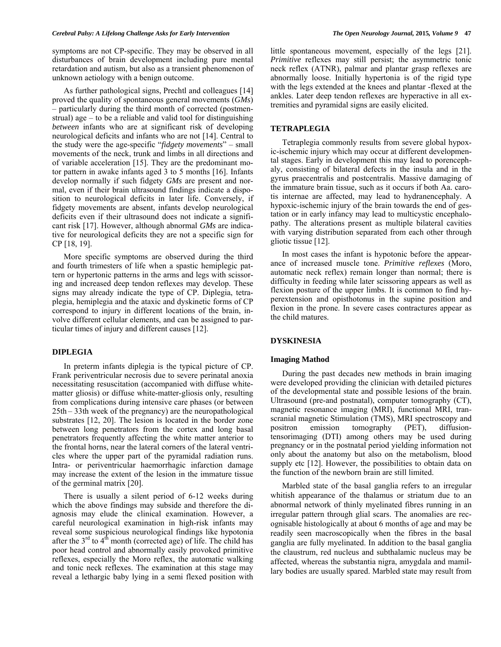#### *Cerebral Palsy: A Lifelong Challenge Asks for Early Intervention The Open Neurology Journal,* **2015***, Volume 9* **47**

symptoms are not CP-specific. They may be observed in all disturbances of brain development including pure mental retardation and autism, but also as a transient phenomenon of unknown aetiology with a benign outcome.

 As further pathological signs, Prechtl and colleagues [14] proved the quality of spontaneous general movements (*GMs*) – particularly during the third month of corrected (postmenstrual) age – to be a reliable and valid tool for distinguishing *between* infants who are at significant risk of developing neurological deficits and infants who are not [14]. Central to the study were the age-specific "*fidgety movements*" – small movements of the neck, trunk and limbs in all directions and of variable acceleration [15]. They are the predominant motor pattern in awake infants aged 3 to 5 months [16]. Infants develop normally if such fidgety *GMs* are present and normal, even if their brain ultrasound findings indicate a disposition to neurological deficits in later life. Conversely, if fidgety movements are absent, infants develop neurological deficits even if their ultrasound does not indicate a significant risk [17]. However, although abnormal *GMs* are indicative for neurological deficits they are not a specific sign for CP [18, 19].

 More specific symptoms are observed during the third and fourth trimesters of life when a spastic hemiplegic pattern or hypertonic patterns in the arms and legs with scissoring and increased deep tendon reflexes may develop. These signs may already indicate the type of CP. Diplegia, tetraplegia, hemiplegia and the ataxic and dyskinetic forms of CP correspond to injury in different locations of the brain, involve different cellular elements, and can be assigned to particular times of injury and different causes [12].

## **DIPLEGIA**

 In preterm infants diplegia is the typical picture of CP. Frank periventricular necrosis due to severe perinatal anoxia necessitating resuscitation (accompanied with diffuse whitematter gliosis) or diffuse white-matter-gliosis only, resulting from complications during intensive care phases (or between 25th – 33th week of the pregnancy) are the neuropathological substrates [12, 20]. The lesion is located in the border zone between long penetrators from the cortex and long basal penetrators frequently affecting the white matter anterior to the frontal horns, near the lateral corners of the lateral ventricles where the upper part of the pyramidal radiation runs. Intra- or periventricular haemorrhagic infarction damage may increase the extent of the lesion in the immature tissue of the germinal matrix [20].

 There is usually a silent period of 6-12 weeks during which the above findings may subside and therefore the diagnosis may elude the clinical examination. However, a careful neurological examination in high-risk infants may reveal some suspicious neurological findings like hypotonia after the  $3<sup>rd</sup>$  to  $4<sup>th</sup>$  month (corrected age) of life. The child has poor head control and abnormally easily provoked primitive reflexes, especially the Moro reflex, the automatic walking and tonic neck reflexes. The examination at this stage may reveal a lethargic baby lying in a semi flexed position with little spontaneous movement, especially of the legs [21]. *Primitive* reflexes may still persist; the asymmetric tonic neck reflex (ATNR), palmar and plantar grasp reflexes are abnormally loose. Initially hypertonia is of the rigid type with the legs extended at the knees and plantar -flexed at the ankles. Later deep tendon reflexes are hyperactive in all extremities and pyramidal signs are easily elicited.

## **TETRAPLEGIA**

 Tetraplegia commonly results from severe global hypoxic-ischemic injury which may occur at different developmental stages. Early in development this may lead to porencephaly, consisting of bilateral defects in the insula and in the gyrus praecentralis and postcentralis. Massive damaging of the immature brain tissue, such as it occurs if both Aa. carotis internae are affected, may lead to hydranencephaly. A hypoxic-ischemic injury of the brain towards the end of gestation or in early infancy may lead to multicystic encephalopathy. The alterations present as multiple bilateral cavities with varying distribution separated from each other through gliotic tissue [12].

 In most cases the infant is hypotonic before the appearance of increased muscle tone. *Primitive reflexes* (Moro, automatic neck reflex) remain longer than normal; there is difficulty in feeding while later scissoring appears as well as flexion posture of the upper limbs. It is common to find hyperextension and opisthotonus in the supine position and flexion in the prone. In severe cases contractures appear as the child matures.

# **DYSKINESIA**

#### **Imaging Mathod**

 During the past decades new methods in brain imaging were developed providing the clinician with detailed pictures of the developmental state and possible lesions of the brain. Ultrasound (pre-and postnatal), computer tomography (CT), magnetic resonance imaging (MRI), functional MRI, transcranial magnetic Stimulation (TMS), MRI spectroscopy and positron emission tomography (PET), diffusiontensorimaging (DTI) among others may be used during pregnancy or in the postnatal period yielding information not only about the anatomy but also on the metabolism, blood supply etc [12]. However, the possibilities to obtain data on the function of the newborn brain are still limited.

 Marbled state of the basal ganglia refers to an irregular whitish appearance of the thalamus or striatum due to an abnormal network of thinly myelinated fibres running in an irregular pattern through glial scars. The anomalies are recognisable histologically at about 6 months of age and may be readily seen macroscopically when the fibres in the basal ganglia are fully myelinated. In addition to the basal ganglia the claustrum, red nucleus and subthalamic nucleus may be affected, whereas the substantia nigra, amygdala and mamillary bodies are usually spared. Marbled state may result from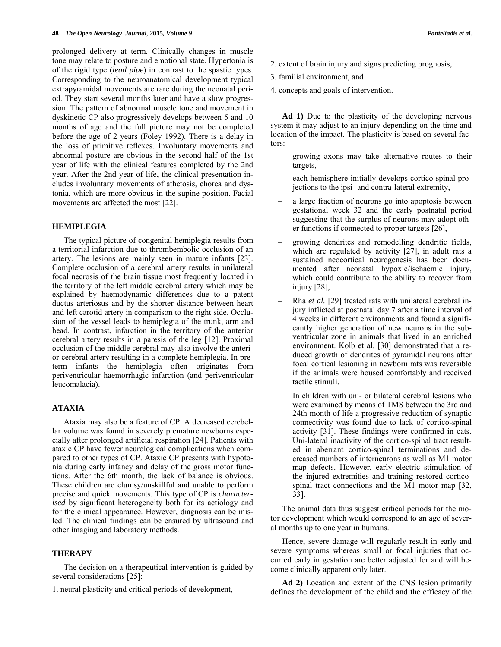prolonged delivery at term. Clinically changes in muscle tone may relate to posture and emotional state. Hypertonia is of the rigid type (*lead pipe*) in contrast to the spastic types. Corresponding to the neuroanatomical development typical extrapyramidal movements are rare during the neonatal period. They start several months later and have a slow progression. The pattern of abnormal muscle tone and movement in dyskinetic CP also progressively develops between 5 and 10 months of age and the full picture may not be completed before the age of 2 years (Foley 1992). There is a delay in the loss of primitive reflexes. Involuntary movements and abnormal posture are obvious in the second half of the 1st year of life with the clinical features completed by the 2nd year. After the 2nd year of life, the clinical presentation includes involuntary movements of athetosis, chorea and dystonia, which are more obvious in the supine position. Facial movements are affected the most [22].

#### **HEMIPLEGIA**

 The typical picture of congenital hemiplegia results from a territorial infarction due to thrombembolic occlusion of an artery. The lesions are mainly seen in mature infants [23]. Complete occlusion of a cerebral artery results in unilateral focal necrosis of the brain tissue most frequently located in the territory of the left middle cerebral artery which may be explained by haemodynamic differences due to a patent ductus arteriosus and by the shorter distance between heart and left carotid artery in comparison to the right side. Occlusion of the vessel leads to hemiplegia of the trunk, arm and head. In contrast, infarction in the territory of the anterior cerebral artery results in a paresis of the leg [12]. Proximal occlusion of the middle cerebral may also involve the anterior cerebral artery resulting in a complete hemiplegia. In preterm infants the hemiplegia often originates from periventricular haemorrhagic infarction (and periventricular leucomalacia).

#### **ATAXIA**

 Ataxia may also be a feature of CP. A decreased cerebellar volume was found in severely premature newborns especially after prolonged artificial respiration [24]. Patients with ataxic CP have fewer neurological complications when compared to other types of CP. Ataxic CP presents with hypotonia during early infancy and delay of the gross motor functions. After the 6th month, the lack of balance is obvious. These children are clumsy/unskillful and unable to perform precise and quick movements. This type of CP is *characterised* by significant heterogeneity both for its aetiology and for the clinical appearance. However, diagnosis can be misled. The clinical findings can be ensured by ultrasound and other imaging and laboratory methods.

## **THERAPY**

 The decision on a therapeutical intervention is guided by several considerations [25]:

1. neural plasticity and critical periods of development,

- 2. extent of brain injury and signs predicting prognosis,
- 3. familial environment, and
- 4. concepts and goals of intervention.

 **Ad 1)** Due to the plasticity of the developing nervous system it may adjust to an injury depending on the time and location of the impact. The plasticity is based on several factors:

- growing axons may take alternative routes to their targets,
- each hemisphere initially develops cortico-spinal projections to the ipsi- and contra-lateral extremity,
- a large fraction of neurons go into apoptosis between gestational week 32 and the early postnatal period suggesting that the surplus of neurons may adopt other functions if connected to proper targets [26],
- growing dendrites and remodelling dendritic fields, which are regulated by activity [27], in adult rats a sustained neocortical neurogenesis has been documented after neonatal hypoxic/ischaemic injury, which could contribute to the ability to recover from injury [28],
- Rha *et al.* [29] treated rats with unilateral cerebral injury inflicted at postnatal day 7 after a time interval of 4 weeks in different environments and found a significantly higher generation of new neurons in the subventricular zone in animals that lived in an enriched environment. Kolb et al. [30] demonstrated that a reduced growth of dendrites of pyramidal neurons after focal cortical lesioning in newborn rats was reversible if the animals were housed comfortably and received tactile stimuli.
- In children with uni- or bilateral cerebral lesions who were examined by means of TMS between the 3rd and 24th month of life a progressive reduction of synaptic connectivity was found due to lack of cortico-spinal activity [31]. These findings were confirmed in cats. Uni-lateral inactivity of the cortico-spinal tract resulted in aberrant cortico-spinal terminations and decreased numbers of interneurons as well as M1 motor map defects. However, early electric stimulation of the injured extremities and training restored corticospinal tract connections and the M1 motor map [32, 33].

 The animal data thus suggest critical periods for the motor development which would correspond to an age of several months up to one year in humans.

 Hence, severe damage will regularly result in early and severe symptoms whereas small or focal injuries that occurred early in gestation are better adjusted for and will become clinically apparent only later.

 **Ad 2)** Location and extent of the CNS lesion primarily defines the development of the child and the efficacy of the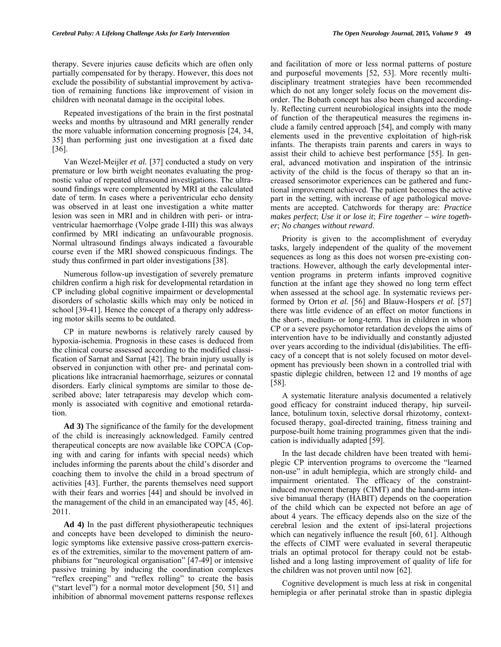therapy. Severe injuries cause deficits which are often only partially compensated for by therapy. However, this does not exclude the possibility of substantial improvement by activation of remaining functions like improvement of vision in children with neonatal damage in the occipital lobes.

 Repeated investigations of the brain in the first postnatal weeks and months by ultrasound and MRI generally render the more valuable information concerning prognosis [24, 34, 35] than performing just one investigation at a fixed date [36].

 Van Wezel-Meijler *et al.* [37] conducted a study on very premature or low birth weight neonates evaluating the prognostic value of repeated ultrasound investigations. The ultrasound findings were complemented by MRI at the calculated date of term. In cases where a periventricular echo density was observed in at least one investigation a white matter lesion was seen in MRI and in children with peri- or intraventricular haemorrhage (Volpe grade I-III) this was always confirmed by MRI indicating an unfavourable prognosis. Normal ultrasound findings always indicated a favourable course even if the MRI showed conspicuous findings. The study thus confirmed in part older investigations [38].

 Numerous follow-up investigation of severely premature children confirm a high risk for developmental retardation in CP including global cognitive impairment or developmental disorders of scholastic skills which may only be noticed in school [39-41]. Hence the concept of a therapy only addressing motor skills seems to be outdated.

 CP in mature newborns is relatively rarely caused by hypoxia-ischemia. Prognosis in these cases is deduced from the clinical course assessed according to the modified classification of Sarnat and Sarnat [42]. The brain injury usually is observed in conjunction with other pre- and perinatal complications like intracranial haemorrhage, seizures or connatal disorders. Early clinical symptoms are similar to those described above; later tetraparesis may develop which commonly is associated with cognitive and emotional retardation.

 **Ad 3)** The significance of the family for the development of the child is increasingly acknowledged. Family centred therapeutical concepts are now available like COPCA (Coping with and caring for infants with special needs) which includes informing the parents about the child's disorder and coaching them to involve the child in a broad spectrum of activities [43]. Further, the parents themselves need support with their fears and worries [44] and should be involved in the management of the child in an emancipated way [45, 46]. 2011.

 **Ad 4)** In the past different physiotherapeutic techniques and concepts have been developed to diminish the neurologic symptoms like extensive passive cross-pattern exercises of the extremities, similar to the movement pattern of amphibians for "neurological organisation" [47-49] or intensive passive training by inducing the coordination complexes "reflex creeping" and "reflex rolling" to create the basis ("start level") for a normal motor development [50, 51] and inhibition of abnormal movement patterns response reflexes

and facilitation of more or less normal patterns of posture and purposeful movements [52, 53]. More recently multidisciplinary treatment strategies have been recommended which do not any longer solely focus on the movement disorder. The Bobath concept has also been changed accordingly. Reflecting current neurobiological insights into the mode of function of the therapeutical measures the regimens include a family centred approach [54], and comply with many elements used in the preventive exploitation of high-risk infants. The therapists train parents and carers in ways to assist their child to achieve best performance [55]. In general, advanced motivation and inspiration of the intrinsic activity of the child is the focus of therapy so that an increased sensorimotor experiences can be gathered and functional improvement achieved. The patient becomes the active part in the setting, with increase of age pathological movements are accepted. Catchwords for therapy are: *Practice makes perfect*; *Use it or lose it*; *Fire together – wire together*; *No changes without reward*.

 Priority is given to the accomplishment of everyday tasks, largely independent of the quality of the movement sequences as long as this does not worsen pre-existing contractions. However, although the early developmental intervention programs in preterm infants improved cognitive function at the infant age they showed no long term effect when assessed at the school age. In systematic reviews performed by Orton *et al.* [56] and Blauw-Hospers *et al.* [57] there was little evidence of an effect on motor functions in the short-, medium- or long-term. Thus in children in whom CP or a severe psychomotor retardation develops the aims of intervention have to be individually and constantly adjusted over years according to the individual (dis)abilities. The efficacy of a concept that is not solely focused on motor development has previously been shown in a controlled trial with spastic diplegic children, between 12 and 19 months of age [58].

 A systematic literature analysis documented a relatively good efficacy for constraint induced therapy, hip surveillance, botulinum toxin, selective dorsal rhizotomy, contextfocused therapy, goal-directed training, fitness training and purpose-built home training programmes given that the indication is individually adapted [59].

 In the last decade children have been treated with hemiplegic CP intervention programs to overcome the "learned non-use" in adult hemiplegia, which are strongly child- and impairment orientated. The efficacy of the constraintinduced movement therapy (CIMT) and the hand-arm intensive bimanual therapy (HABIT) depends on the cooperation of the child which can be expected not before an age of about 4 years. The efficacy depends also on the size of the cerebral lesion and the extent of ipsi-lateral projections which can negatively influence the result [60, 61]. Although the effects of CIMT were evaluated in several therapeutic trials an optimal protocol for therapy could not be established and a long lasting improvement of quality of life for the children was not proven until now [62].

 Cognitive development is much less at risk in congenital hemiplegia or after perinatal stroke than in spastic diplegia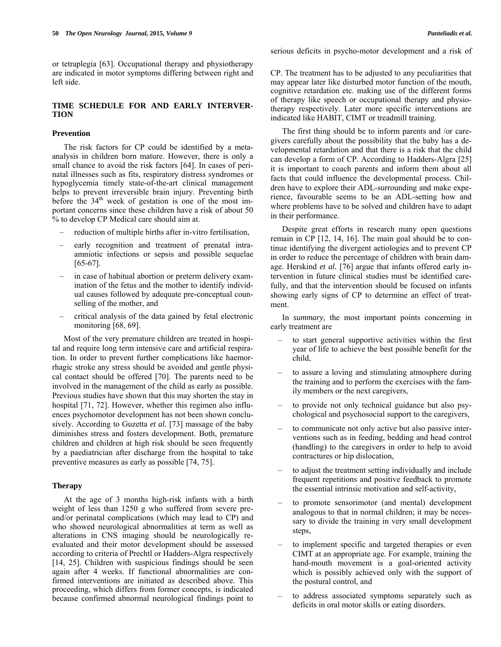or tetraplegia [63]. Occupational therapy and physiotherapy are indicated in motor symptoms differing between right and left side.

# **TIME SCHEDULE FOR AND EARLY INTERVER-TION**

# **Prevention**

 The risk factors for CP could be identified by a metaanalysis in children born mature. However, there is only a small chance to avoid the risk factors [64]. In cases of perinatal illnesses such as fits, respiratory distress syndromes or hypoglycemia timely state-of-the-art clinical management helps to prevent irreversible brain injury. Preventing birth before the  $34<sup>th</sup>$  week of gestation is one of the most important concerns since these children have a risk of about 50 % to develop CP Medical care should aim at.

- reduction of multiple births after in-vitro fertilisation,
- early recognition and treatment of prenatal intraamniotic infections or sepsis and possible sequelae [65-67].
- in case of habitual abortion or preterm delivery examination of the fetus and the mother to identify individual causes followed by adequate pre-conceptual counselling of the mother, and
- critical analysis of the data gained by fetal electronic monitoring [68, 69].

 Most of the very premature children are treated in hospital and require long term intensive care and artificial respiration. In order to prevent further complications like haemorrhagic stroke any stress should be avoided and gentle physical contact should be offered [70]. The parents need to be involved in the management of the child as early as possible. Previous studies have shown that this may shorten the stay in hospital [71, 72]. However, whether this regimen also influences psychomotor development has not been shown conclusively. According to Guzetta *et al.* [73] massage of the baby diminishes stress and fosters development. Both, premature children and children at high risk should be seen frequently by a paediatrician after discharge from the hospital to take preventive measures as early as possible [74, 75].

# **Therapy**

 At the age of 3 months high-risk infants with a birth weight of less than 1250 g who suffered from severe preand/or perinatal complications (which may lead to CP) and who showed neurological abnormalities at term as well as alterations in CNS imaging should be neurologically reevaluated and their motor development should be assessed according to criteria of Prechtl or Hadders-Algra respectively [14, 25]. Children with suspicious findings should be seen again after 4 weeks. If functional abnormalities are confirmed interventions are initiated as described above. This proceeding, which differs from former concepts, is indicated because confirmed abnormal neurological findings point to

serious deficits in psycho-motor development and a risk of

CP. The treatment has to be adjusted to any peculiarities that may appear later like disturbed motor function of the mouth, cognitive retardation etc. making use of the different forms of therapy like speech or occupational therapy and physiotherapy respectively. Later more specific interventions are indicated like HABIT, CIMT or treadmill training.

 The first thing should be to inform parents and /or caregivers carefully about the possibility that the baby has a developmental retardation and that there is a risk that the child can develop a form of CP. According to Hadders-Algra [25] it is important to coach parents and inform them about all facts that could influence the developmental process. Children have to explore their ADL-surrounding and make experience, favourable seems to be an ADL-setting how and where problems have to be solved and children have to adapt in their performance.

 Despite great efforts in research many open questions remain in CP [12, 14, 16]. The main goal should be to continue identifying the divergent aetiologies and to prevent CP in order to reduce the percentage of children with brain damage. Herskind *et al.* [76] argue that infants offered early intervention in future clinical studies must be identified carefully, and that the intervention should be focused on infants showing early signs of CP to determine an effect of treatment.

 In *summary,* the most important points concerning in early treatment are

- to start general supportive activities within the first year of life to achieve the best possible benefit for the child,
- to assure a loving and stimulating atmosphere during the training and to perform the exercises with the family members or the next caregivers,
- to provide not only technical guidance but also psychological and psychosocial support to the caregivers,
- to communicate not only active but also passive interventions such as in feeding, bedding and head control (handling) to the caregivers in order to help to avoid contractures or hip dislocation,
- to adjust the treatment setting individually and include frequent repetitions and positive feedback to promote the essential intrinsic motivation and self-activity,
- to promote sensorimotor (and mental) development analogous to that in normal children; it may be necessary to divide the training in very small development steps,
- to implement specific and targeted therapies or even CIMT at an appropriate age. For example, training the hand-mouth movement is a goal-oriented activity which is possibly achieved only with the support of the postural control, and
- to address associated symptoms separately such as deficits in oral motor skills or eating disorders.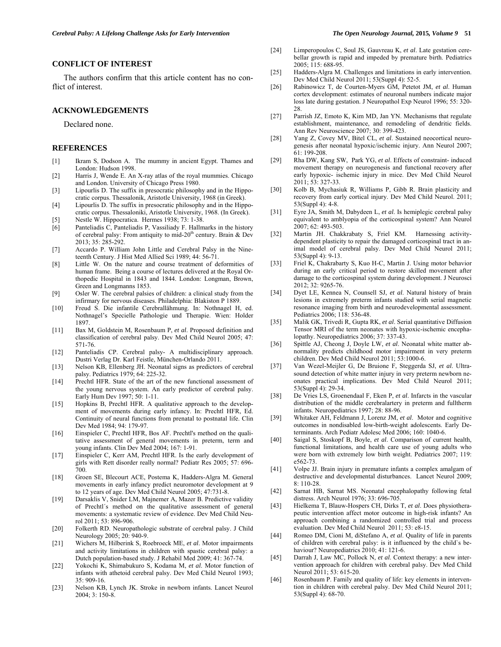## **CONFLICT OF INTEREST**

 The authors confirm that this article content has no conflict of interest.

#### **ACKNOWLEDGEMENTS**

Declared none.

## **REFERENCES**

- [1] Ikram S, Dodson A. The mummy in ancient Egypt. Thames and London: Hudson 1998.
- [2] Harris J, Wende E. An X-ray atlas of the royal mummies. Chicago and London. University of Chicago Press 1980.
- [3] Lipourlis D. The suffix in presocratic philosophy and in the Hippocratic corpus. Thessalonik, Aristotle University, 1968 (in Greek).
- [4] Lipourlis D. The suffix in presocratic philosophy and in the Hippocratic corpus. Thessaloniki, Aristotle University, 1968. (In Greek).
- [5] Nestle W. Hippocratica. Hermes 1938; 73: 1-38.
- [6] Panteliadis C, Panteliadis P, Vassiliady F. Hallmarks in the history of cerebral palsy: From antiquity to mid-20<sup>th</sup> century. Brain  $\&$  Dev 2013; 35: 285-292.
- [7] Accardo P. William John Little and Cerebral Palsy in the Nineteenth Century. J Hist Med Allied Sci 1989; 44: 56-71.
- [8] Little W. On the nature and course treatment of deformities of human frame. Being a course of lectures delivered at the Royal Orthopedic Hospital in 1843 and 1844. London: Longman, Brown, Green and Longmanns 1853.
- [9] Osler W. The cerebral palsies of children: a clinical study from the infirmary for nervous diseases. Philadelphia: Blakiston P 1889.
- [10] Freud S. Die infantile Cerebrallähmung. In: Nothnagel H, ed. Nothnagel's Specielle Pathologie und Therapie. Wien: Holder 1897.
- [11] Bax M, Goldstein M, Rosenbaum P, *et al*. Proposed definition and classification of cerebral palsy. Dev Med Child Neurol 2005; 47: 571-76.
- [12] Panteliadis CP. Cerebral palsy- A multidisciplinary approach. Dustri Verlag Dr. Karl Feistle, München-Orlando 2011.
- [13] Nelson KB, Ellenberg JH. Neonatal signs as predictors of cerebral palsy. Pediatrics 1979; 64: 225-32.
- [14] Prechtl HFR. State of the art of the new functional assessment of the young nervous system. An early predictor of cerebral palsy. Early Hum Dev 1997; 50: 1-11.
- [15] Hopkins B, Prechtl HFR. A qualitative approach to the development of movements during early infancy. In: Prechtl HFR, Ed. Continuity of neural functions from prenatal to postnatal life. Clin Dev Med 1984; 94: 179-97.
- [16] Einspieler C, Prechtl HFR, Bos AF. Prechtl's method on the qualitative assessment of general movements in preterm, term and young infants. Clin Dev Med 2004; 167: 1-91.
- [17] Einspieler C, Kerr AM, Prechtl HFR. Is the early development of girls with Rett disorder really normal? Pediatr Res 2005; 57: 696- 700.
- [18] Groen SE, Blecourt ACE, Postema K, Hadders-Algra M. General movements in early infancy predict neuromotor development at 9 to 12 years of age. Dev Med Child Neurol 2005; 47:731-8.
- [19] Darsaklis V, Snider LM, Majnemer A, Mazer B. Predictive validity of Prechtl´s method on the qualitative assessment of general movements: a systematic review of evidence. Dev Med Child Neurol 2011; 53: 896-906.
- [20] Folkerth RD. Neuropathologic substrate of cerebral palsy. J Child Neurology 2005; 20: 940-9.
- [21] Wichers M, Hilberink S, Roebroeck ME, *et al*. Motor impairments and activity limitations in children with spastic cerebral palsy: a Dutch population-based study. J Rehabil Med 2009; 41: 367-74.
- [22] Yokochi K, Shimabukuro S, Kodama M, *et al*. Motor function of infants with athetoid cerebral palsy. Dev Med Child Neurol 1993; 35: 909-16.
- [23] Nelson KB, Lynch JK. Stroke in newborn infants. Lancet Neurol 2004; 3: 150-8.
- [24] Limperopoulos C, Soul JS, Gauvreau K, *et al*. Late gestation cerebellar growth is rapid and impeded by premature birth. Pediatrics 2005; 115: 688-95.
- [25] Hadders-Algra M. Challenges and limitations in early intervention. Dev Med Child Neurol 2011; 53(Suppl 4): 52-5.
- [26] Rabinowicz T, de Courten-Myers GM, Petetot JM, *et al*. Human cortex development: estimates of neuronal numbers indicate major loss late during gestation. J Neuropathol Exp Neurol 1996; 55: 320- 28.
- [27] Parrish JZ, Emoto K, Kim MD, Jan YN. Mechanisms that regulate establishment, maintenance, and remodeling of dendritic fields. Ann Rev Neuroscience 2007; 30: 399-423.
- [28] Yang Z, Covey MV, Bitel CL, *et al*. Sustained neocortical neurogenesis after neonatal hypoxic/ischemic injury. Ann Neurol 2007; 61: 199-208.
- [29] Rha DW, Kang SW, Park YG, *et al*. Effects of constraint- induced movement therapy on neurogenesis and functional recovery after early hypoxic- ischemic injury in mice. Dev Med Child Neurol 2011; 53: 327-33.
- [30] Kolb B, Mychasiuk R, Williams P, Gibb R. Brain plasticity and recovery from early cortical injury. Dev Med Child Neurol. 2011; 53(Suppl 4): 4-8.
- [31] Eyre JA, Smith M, Dabydeen L, *et al*. Is hemiplegic cerebral palsy equivalent to amblyopia of the corticospinal system? Ann Neurol 2007; 62: 493-503.
- [32] Martin JH. Chakkrabaty S, Friel KM. Harnessing activitydependent plasticity to repair the damaged corticospinal tract in animal model of cerebral palsy. Dev Med Child Neurol 2011; 53(Suppl 4): 9-13.
- [33] Friel K, Chakrabarty S, Kuo H-C, Martin J. Using motor behavior during an early critical period to restore skilled movement after damage to the corticospinal system during development. J Neurosci 2012; 32: 9265-76.
- [34] Dyet LE, Kennea N, Counsell SJ, *et al*. Natural history of brain lesions in extremely preterm infants studied with serial magnetic resonance imaging from birth and neurodevelopmental assessment. Pediatrics 2006; 118: 536-48.
- [35] Malik GK, Trivedi R, Gupta RK, *et al*. Serial quantitative Diffusion Tensor MRI of the term neonates with hypoxic-ischemic encephalopathy. Neuropediatrics 2006; 37: 337-43.
- [36] Spittle AJ, Cheong J, Doyle LW, *et al*. Neonatal white matter abnormality predicts childhood motor impairment in very preterm children. Dev Med Child Neurol 2011; 53:1000-6.
- [37] Van Wezel-Meijler G, De Bruione F, Steggerda SJ, *et al*. Ultrasound detection of white matter injury in very preterm newborn neonates practical implications. Dev Med Child Neurol 2011; 53(Suppl 4): 29-34.
- [38] De Vries LS, Groenendaal F, Eken P, *et al*. Infarcts in the vascular distribution of the middle cerebralartery in preterm and fulltherm infants. Neuropediatrics 1997; 28: 88-96.
- [39] Whitaker AH, Feldmann J, Lorenz JM, *et al*. Motor and cognitive outcomes in nondisabled low-birth-weight adolescents. Early Determinants. Arch Pediatr Adolesc Med 2006; 160: 1040-6.
- [40] Saigal S, Stoskopf B, Boyle, *et al*. Comparison of current health, functional limitations, and health care use of young adults who were born with extremely low birth weight. Pediatrics 2007; 119: e562-73.
- [41] Volpe JJ. Brain injury in premature infants a complex amalgam of destructive and developmental disturbances. Lancet Neurol 2009;  $8:110-28$
- [42] Sarnat HB, Sarnat MS. Neonatal encephalopathy following fetal distress. Arch Neurol 1976; 33: 696-705.
- [43] Hielkema T, Blauw-Hospers CH, Dirks T, *et al*. Does physiotherapeutic intervention affect motor outcome in high-risk infants? An approach combining a randomized controlled trial and process evaluation. Dev Med Child Neurol 2011; 53: e8-15.
- [44] Romeo DM, Cioni M, diStefano A, *et al*. Quality of life in parents of children with cerebral palsy: is it influenced by the child`s behaviour? Neuropediatrics 2010; 41: 121-6.
- [45] Darrah J, Law MC, Pollock N, *et al*. Context therapy: a new intervention approach for children with cerebral palsy. Dev Med Child Neurol 2011; 53: 615-20.
- [46] Rosenbaum P. Family and quality of life: key elements in intervention in children with cerebral palsy. Dev Med Child Neurol 2011; 53(Suppl 4): 68-70.